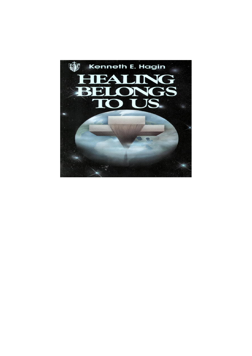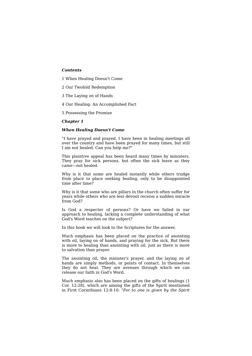# *Contents*

1 When Healing Doesn't Come

- 2 Our Twofold Redemption
- 3 The Laying on of Hands
- 4 Our Healing: An Accomplished Fact
- 5 Possessing the Promise

#### *Chapter 1*

## *When Healing Doesn't Come*

"I have prayed and prayed. I have been in healing meetings all over the country and have been prayed for many times, but still I am not healed. Can you help me?"

This plaintive appeal has been heard many times by ministers. They pray for sick persons, but often the sick leave as they came—not healed.

Why is it that some are healed instantly while others trudge from place to place seeking healing, only to be disappointed time after time?

Why is it that some who are pillars in the church often suffer for years while others who are less devout receive a sudden miracle from God?

Is God a respecter of persons? Or have we failed in our approach to healing, lacking a complete understanding of what God's Word teaches on the subject?

In this book we will look to the Scriptures for the answer.

Much emphasis has been placed on the practice of anointing with oil, laying on of hands, and praying for the sick. But there is more to healing than anointing with oil, just as there is more to salvation than prayer.

The anointing oil, the minister's prayer, and the laying on of hands are simply methods, or points of contact. In themselves they do not heal. They are avenues through which we can release our faith in God's Word.

Much emphasis also has been placed on the gifts of healings (1 Cor. 12:28), which are among the gifts of the Spirit mentioned in First Corinthians 12:8-10: *"For to one is given by the Spirit*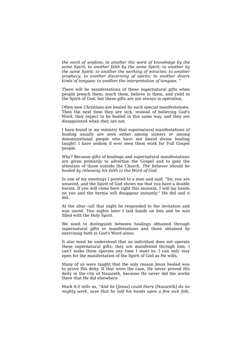*the word of wisdom; to another the word of knowledge by the same Spirit; to another faith by the same Spirit; to another by the same Spirit; to another the working of miracles; to another prophecy; to another discerning of spirits; to another divers kinds of tongues; to another the interpretation of tongues.* "

There will be manifestations of these supernatural gifts when people preach them, teach them, believe in them, and yield to the Spirit of God; but these gifts are not always in operation.

Often new Christians are healed by such special manifestations. Then the next time they are sick, instead of believing God's Word, they expect to be healed in this same way, and they are disappointed when they are not.

I have found in my ministry that supernatural manifestations of healing usually are seen either among sinners or among denominational people who have not heard divine healing taught! I have seldom if ever seen them work for Full Gospel people.

Why? Because gifts of healings and supernatural manifestations are given primarily to advertise the Gospel and to gain the attention of those outside the Church. *The believer should be healed by releasing his faith in the Word of God.*

In one of my meetings I pointed to a man and said, "Sir, you are unsaved, and the Spirit of God shows me that you have a double hernia. If you will come here right this moment, I will lay hands on you and the hernia will disappear instantly." He did and it did.

At the altar call that night he responded to the invitation and was saved. Two nights later I laid hands on him and he was filled with the Holy Spirit.

We need to distinguish between healings obtained through supernatural gifts or manifestations and those obtained by exercising faith in God's Word alone.

It also must be understood that an individual does not operate these supernatural gifts; they are manifested through him. I can't make them operate any time I want to: I can only stay open for the manifestation of the Spirit of God as He wills.

Many of us were taught that the only reason Jesus healed was to prove His deity. If that were the case, He never proved His deity in the city of Nazareth, because He never did the works there that He did elsewhere.

Mark 6:5 tells us, *"And he* [Jesus] *could there* [Nazareth] *do no mighty work, save that he laid his hands upon a few sick folk,*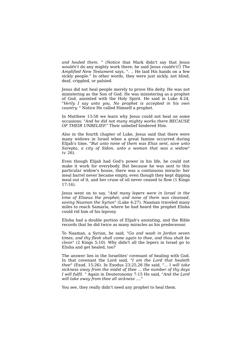*and healed them.* " (Notice that Mark didn't say that Jesus *wouldn't* do any mighty work there; he said Jesus *couldn't!) The Amplified New Testament* says, ". .. He laid His hands on a few sickly people." In other words, they were just sickly, not blind, deaf, crippled, or palsied.

Jesus did not heal people merely to prove His deity. He was not ministering as the Son of God. He was ministering as a prophet of God, anointed with the Holy Spirit. He said in Luke 4:24, *"Verily I say unto you, No prophet is accepted in his own country.* " Notice He called Himself a prophet.

In Matthew 13:58 we learn why Jesus could not heal on some occasions: *"And he did not many mighty works there BECAUSE OF THEIR UNBELIEF."* Their unbelief hindered Him.

Also in the fourth chapter of Luke, Jesus said that there were many widows in Israel when a great famine occurred during Elijah's time, *"But unto none of them was Elias sent, save unto Sarepta, a city of Sidon, unto a woman that was a widow"* (v. 26).

Even though Elijah had God's power in his life, he could not make it work for everybody. But because he was sent to this particular widow's house, there was a continuous miracle: her meal barrel never became empty, even though they kept dipping meal out of it, and her cruse of oil never ceased to flow (1 Kings  $17:16$ ).

Jesus went on to say, *"And many lepers were in Israel in the time of Eliseus the prophet; and none of them was cleansed, saving Naaman the Syrian"* (Luke 4:27). Naaman traveled many miles to reach Samaria, where he had heard the prophet Elisha could rid him of his leprosy.

Elisha had a double portion of Elijah's anointing, and the Bible records that he did twice as many miracles as his predecessor.

To Naaman, a Syrian, he said, *"Go and wash in Jordan seven times, and thy flesh shall come again to thee, and thou shalt be clean"* (2 Kings 5:10). Why didn't all the lepers in Israel go to Elisha and get healed, too?

The answer lies in the Israelites' covenant of healing with God. In that covenant the Lord said, *"I am the Lord that healeth thee"* (Exod. 15:26). In Exodus 23:25,26 He said, "... I *will take sickness away from the midst of thee ... the number of thy days I will fulfil.* " Again in Deuteronomy 7:15 He said, *"And the Lord will take away from thee all sickness* ...."

You see, they really didn't need any prophet to heal them.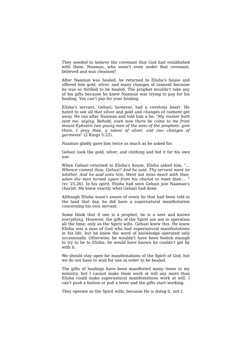They needed to believe the covenant that God had established with them. Naaman, who wasn't even under that covenant, believed and was cleansed!

After Naaman was healed, he returned to Elisha's house and offered him gold, silver, and many changes of raiment because he was so thrilled to be healed. The prophet wouldn't take any of his gifts because he knew Naaman was trying to pay for his healing. You can't pay for your healing.

Elisha's servant, Gehazi, however, had a covetous heart. He hated to see all that silver and gold and changes of raiment get away. He ran after Naaman and told him a lie: *"My master hath sent me, saying, Behold, even now there be come to me from mount Ephraim two young men of the sons of the prophets: give them, I pray thee, a talent of silver, and two changes of garments"* (2 Kings 5:22).

Naaman gladly gave him twice as much as he asked for.

Gehazi took the gold, silver, and clothing and hid it for his own use.

When Gehazi returned to Elisha's house, Elisha asked him, "... *Whence comest thou, Gehazi? And he said, Thy servant went no whither. And he said unto him, Went not mine heart with thee, when the man turned again from his chariot to meet thee....* " (vv. 25,26). In his spirit, Elisha had seen Gehazi join Naaman's chariot. He knew exactly what Gehazi had done.

Although Elisha wasn't aware of every lie that had been told in the land that day, he did have a supernatural manifestation concerning his own servant.

Some think that if one is a prophet, he is a seer and knows *everything.* However, the gifts of the Spirit are not in operation all the time; only as the Spirit wills. Gehazi knew this. He knew Elisha was a man of God who had supernatural manifestations in his life, but he knew the word of knowledge operated only occasionally. Otherwise, he wouldn't have been foolish enough to try to lie to Elisha; he would have known he couldn't get by with it.

We should stay open for manifestations of the Spirit of God, but we do not have to wait for one in order to be healed.

The gifts of healings have been manifested many times in my ministry, but I cannot make them work at will any more than Elisha could make supernatural manifestations work at will. I can't push a button or pull a lever and the gifts start working.

They operate as the Spirit wills, because He is doing it, not I.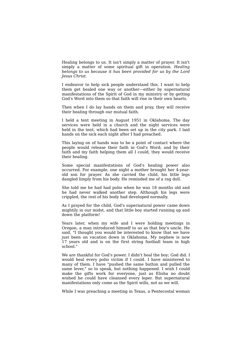Healing belongs to us. It isn't simply a matter of prayer. It isn't simply a matter of some spiritual gift in operation. *Healing belongs to us because it has been provided for us by the Lord Jesus Christ.*

I endeavor to help sick people understand this. I want to help them get healed one way or another—either by supernatural manifestations of the Spirit of God in my ministry or by getting God's Word into them so that faith will rise in their own hearts.

Then when I do lay hands on them and pray, they will receive their healing through our mutual faith.

I held a tent meeting in August 1951 in Oklahoma. The day services were held in a church and the night services were held in the tent, which had been set up in the city park. I laid hands on the sick each night after I had preached.

This laying on of hands was to be a point of contact where the people would release their faith in God's Word; and by their faith and my faith helping them all I could, they would receive their healing.

Some special manifestations of God's healing power also occurred. For example, one night a mother brought her 4-yearold son for prayer. As she carried the child, his little legs dangled limply from his body. He reminded me of a rag doll.

She told me he had had polio when he was 18 months old and he had never walked another step. Although his legs were crippled, the rest of his body had developed normally.

As I prayed for the child, God's supernatural power came down mightily in our midst, and that little boy started running up and down the platform!

Years later, when my wife and I were holding meetings in Oregon, a man introduced himself to us as that boy's uncle. He said, "I thought you would be interested to know that we have just been on vacation down in Oklahoma. My nephew is now 17 years old and is on the first string football team in high school."

We are thankful for God's power. I didn't heal the boy; God did. I would heal every polio victim if I could. I have ministered to many of them. I have "pushed the same button and pulled the same lever," so to speak, but nothing happened. I wish I could make the gifts work for everyone, just as Elisha no doubt wished he could have cleansed every leper. But supernatural manifestations only come as the Spirit wills, not as we will.

While I was preaching a meeting in Texas, a Pentecostal woman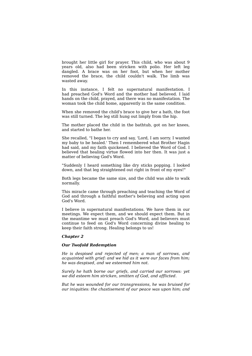brought her little girl for prayer. This child, who was about 9 years old, also had been stricken with polio. Her left leg dangled. A brace was on her foot, but when her mother removed the brace, the child couldn't walk. The limb was wasted away.

In this instance, I felt no supernatural manifestation. I had preached God's Word and the mother had believed. I laid hands on the child, prayed, and there was no manifestation. The woman took the child home, apparently in the same condition.

When she removed the child's brace to give her a bath, the foot was still turned. The leg still hung out limply from the hip.

The mother placed the child in the bathtub, got on her knees, and started to bathe her.

She recalled, "I began to cry and say, 'Lord, I am sorry. I wanted my baby to be healed.' Then I remembered what Brother Hagin had said, and my faith quickened. I believed the Word of God. I believed that healing virtue flowed into her then. It was just a matter of believing God's Word.

"Suddenly I heard something like dry sticks popping. I looked down, and that leg straightened out right in front of my eyes!"

Both legs became the same size, and the child was able to walk normally.

This miracle came through preaching and teaching the Word of God and through a faithful mother's believing and acting upon God's Word.

I believe in supernatural manifestations. We have them in our meetings. We expect them, and we should expect them. But in the meantime we must preach God's Word, and believers must continue to feed on God's Word concerning divine healing to keep their faith strong. Healing belongs to us!

#### *Chapter 2*

# *Our Twofold Redemption*

*He is despised and rejected of men; a man of sorrows, and acquainted with grief: and we hid as it were our faces from him; he was despised, and we esteemed him not.*

*Surely he hath borne our griefs, and carried our sorrows: yet we did esteem him stricken, smitten of God, and afflicted.*

*But he was wounded for our transgressions, he was bruised for our iniquities: the chastisement of our peace was upon him; and*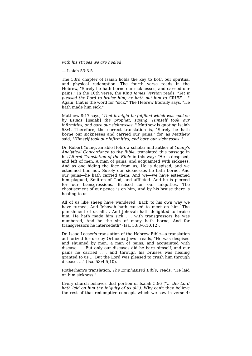*with his stripes we are healed.*

*—* Isaiah 53:3-5

The 53rd chapter of Isaiah holds the key to both our spiritual and physical redemption. The fourth verse reads in the Hebrew, "Surely he hath borne our sicknesses, and carried our pains." In the 10th verse, the *King James Version* reads, *"Yet it pleased the Lord to bruise him; he hath put him to GRIEF.* ..." Again, that is the word for "sick." The Hebrew literally says, "He hath made him sick."

Matthew 8:17 says, *"That it might be fulfilled which was spoken by Esaias* [Isaiah] *the prophet, saying, Himself took our infirmities, and bare our sicknesses.* " Matthew is quoting Isaiah 53:4. Therefore, the correct translation is, "Surely he hath borne our sicknesses and carried our pains," for, as Matthew said, *"Himself took our infirmities, and bare our sicknesses.* "

Dr. Robert Young, an able Hebrew scholar and author of *Young's Analytical Concordance to the Bible,* translated this passage in his *Literal Translation of the Bible* in this way: "He is despised, and left of men, A man of pains, and acquainted with sickness, And as one hiding the face from us, He is despised, and we esteemed him not. Surely our sicknesses he hath borne, And our pains—he hath carried them, And we—we have esteemed him plagued, Smitten of God, and afflicted. And he is pierced for our transgressions, Bruised for our iniquities, The chastisement of our peace is on him, And by his bruise there is healing to us.

All of us like sheep have wandered, Each to his own way we have turned, And Jehovah hath caused to meet on him, The punishment of us all.. . And Jehovah hath delighted to bruise him, He hath made him sick . .. with transgressors he was numbered, And he the sin of many hath borne, And for transgressors he intercedeth" (Isa. 53:3-6,10,12).

Dr. Isaac Leeser's translation of the Hebrew Bible—a translation authorized for use by Orthodox Jews—reads, "He was despised and shunned by men: a man of pains, and acquainted with disease . .. But only our diseases did he bare himself, and our pains he carried .. . and through his bruises was healing granted to us ... But the Lord was pleased to crush him through disease. ..." (Isa. 53:4,5,10).

Rotherham's translation, *The Emphasized Bible,* reads, "He laid on him sickness."

Every church believes that portion of Isaiah 53:6 ("... *the Lord hath laid on him the iniquity of us all").* Why can't they believe the rest of that redemptive concept, which we saw in verse 4: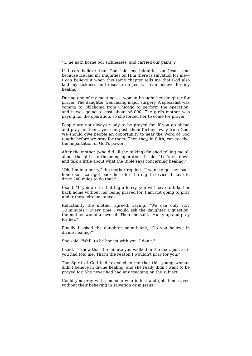"... he hath borne our sicknesses, and carried our pains"?

If I can believe that God laid my iniquities on Jesus—and because He laid my iniquities on Him there is salvation for me— I can believe it when this same chapter tells me that God also laid my sickness and disease on Jesus. I can believe for my healing.

During one of my meetings, a woman brought her daughter for prayer. The daughter was facing major surgery. A specialist was coming to Oklahoma from Chicago to perform the operation, and it was going to cost about \$6,000. The girl's mother was paying for the operation, so she forced her to come for prayer.

People are not always ready to be prayed for. If you go ahead and pray for them, you can push them further away from God. We should give people an opportunity to hear the Word of God taught before we pray for them. Then they, in faith, can receive the impartation of God's power.

After the mother (who did all the talking) finished telling me all about the girl's forthcoming operation, I said, "Let's sit down and talk a little about what the Bible says concerning healing."

"Oh, I'm in a hurry," the mother replied. "I want to get her back home so I can get back here for the night service. I have to drive 240 miles to do that."

I said, "If you are in that big a hurry, you will have to take her back home without her being prayed for. I am not going to pray under those circumstances."

Reluctantly the mother agreed, saying, "We can only stay 10 minutes." Every time I would ask the daughter a question, the mother would answer it. Then she said, "Hurry up and pray for her."

Finally I asked the daughter point-blank, "Do you believe in divine healing?"

She said, "Well, to be honest with you, I don't."

I said, "I knew that the minute you walked in the door, just as if you had told me. That's the reason I wouldn't pray for you."

The Spirit of God had revealed to me that this young woman didn't believe in divine healing, and she really didn't want to be prayed for. She never had had any teaching on the subject.

Could you pray with someone who is lost and get them saved without their believing in salvation or in Jesus?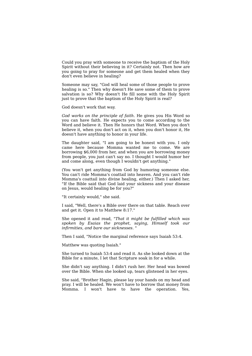Could you pray with someone to receive the baptism of the Holy Spirit without their believing in it? Certainly not. Then how are you going to pray for someone and get them healed when they don't even believe in healing?

Someone may say, "God will heal some of those people to prove healing is so." Then why doesn't He save some of them to prove salvation is so? Why doesn't He fill some with the Holy Spirit just to prove that the baptism of the Holy Spirit is real?

God doesn't work that way.

*God works on the principle of faith.* He gives you His Word so you can have faith. He expects you to come according to the Word and believe it. Then He honors that Word. When you don't believe it, when you don't act on it, when you don't honor it, He doesn't have anything to honor in your life.

The daughter said, "I am going to be honest with you. I only came here because Momma wanted me to come. We are borrowing \$6,000 from her, and when you are borrowing money from people, you just can't say no. I thought I would humor her and come along, even though I wouldn't get anything."

(You won't get anything from God by humoring someone else. You can't ride Momma's coattail into heaven. And you can't ride Momma's coattail into divine healing, either.) Then I asked her, "If the Bible said that God laid your sickness and your disease on Jesus, would healing be for you?"

"It certainly would," she said.

I said, "Well, there's a Bible over there on that table. Reach over and get it. Open it to Matthew 8:17."

She opened it and read, *"That it might be fulfilled which was spoken by Esaias the prophet, saying, Himself took our infirmities, and bare our sicknesses.* "

Then I said, "Notice the marginal reference says Isaiah 53:4.

Matthew was quoting Isaiah."

She turned to Isaiah 53:4 and read it. As she looked down at the Bible for a minute, I let that Scripture soak in for a while.

She didn't say anything. I didn't rush her. Her head was bowed over the Bible. When she looked up, tears glistened in her eyes.

She said, "Brother Hagin, please lay your hands on my head and pray. I will be healed. We won't have to borrow that money from Momma. I won't have to have the operation. Yes,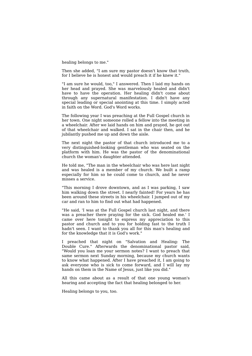healing belongs to me."

Then she added, "I am sure my pastor doesn't know that truth, for I believe he is honest and would preach it if he knew it."

"I am sure he would, too," I answered. Then I laid my hands on her head and prayed. She was marvelously healed and didn't have to have the operation. Her healing didn't come about through any supernatural manifestation. I didn't have any special leading or special anointing at this time. I simply acted in faith on the Word. God's Word works.

The following year I was preaching at the Full Gospel church in her town. One night someone rolled a fellow into the meeting in a wheelchair. After we laid hands on him and prayed, he got out of that wheelchair and walked. I sat in the chair then, and he jubilantly pushed me up and down the aisle.

The next night the pastor of that church introduced me to a very distinguished-looking gentleman who was seated on the platform with him. He was the pastor of the denominational church the woman's daughter attended.

He told me, "The man in the wheelchair who was here last night and was healed is a member of my church. We built a ramp especially for him so he could come to church, and he never misses a service.

"This morning I drove downtown, and as I was parking, I saw him walking down the street. I nearly fainted! For years he has been around these streets in his wheelchair. I jumped out of my car and ran to him to find out what had happened.

"He said, 'I was at the Full Gospel church last night, and there was a preacher there praying for the sick. God healed me.' I came over here tonight to express my appreciation to this pastor and church and to you for holding fast to the truth I hadn't seen. I want to thank you all for this man's healing and for the knowledge that it is God's work."

I preached that night on "Salvation and Healing: The Double Cure." Afterwards the denominational pastor said, "Would you loan me your sermon notes? I want to preach that same sermon next Sunday morning, because my church wants to know what happened. After I have preached it, I am going to ask everyone who is sick to come forward, and I will lay my hands on them in the Name of Jesus, just like you did."

All this came about as a result of that one young woman's hearing and accepting the fact that healing belonged to her.

Healing belongs to you, too.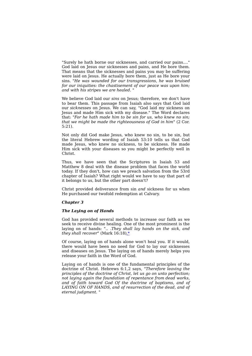"Surely he hath borne our sicknesses, and carried our pains...." God laid on Jesus our sicknesses and pains, and He bore them. That means that the sicknesses and pains you may be suffering were laid on Jesus. He actually bore them, just as He bore your sins. *"He was wounded for our transgressions, he was bruised for our iniquities: the chastisement of our peace was upon him; and with his stripes we are healed.* "

We believe God laid our *sins* on Jesus; therefore, we don't have to bear them. This passage from Isaiah also says that God laid our *sicknesses* on Jesus. We can say, "God laid my sickness on Jesus and made Him sick with my disease." The Word declares that: *"For he hath made him to be sin for us, who knew no sin; that we might be made the righteousness of God in him"* (2 Cor. 5:21).

Not only did God make Jesus, who knew no sin, to be sin, but the literal Hebrew wording of Isaiah 53:10 tells us that God made Jesus, who knew no sickness, to be sickness. He made Him sick with your diseases so you might be perfectly well in Christ.

Thus, we have seen that the Scriptures in Isaiah 53 and Matthew 8 deal with the disease problem that faces the world today. If they don't, how can we preach salvation from the 53rd chapter of Isaiah? What right would we have to say that part of it belongs to us, but the other part doesn't?

Christ provided deliverance from sin *and* sickness for us when He purchased our twofold redemption at Calvary.

## *Chapter 3*

# *The Laying on of Hands*

God has provided several methods to increase our faith as we seek to receive divine healing. One of the most prominent is the laying on of hands: ".. *.They shall lay hands on the sick, and they shall recover"* (Mark 16:18).\*

Of course, laying on of hands alone won't heal you. If it would, there would have been no need for God to lay our sicknesses and diseases on Jesus. The laying on of hands merely helps you release your faith in the Word of God.

Laying on of hands is one of the fundamental principles of the doctrine of Christ. Hebrews 6:1,2 says, *"Therefore leaving the principles of the doctrine of Christ, let us go on unto perfection; not laying again the foundation of repentance from dead works, and of faith toward God Of the doctrine of baptisms, and of LAYING ON OF HANDS, and of resurrection of the dead, and of eternal judgment.* "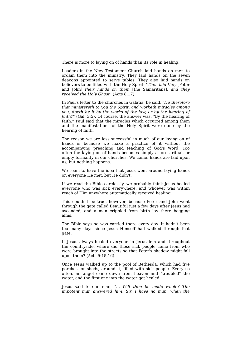There is more to laying on of hands than its role in healing.

Leaders in the New Testament Church laid hands on men to ordain them into the ministry. They laid hands on the seven deacons appointed to serve tables. They also laid hands on believers to be filled with the Holy Spirit: *"Then laid they* [Peter and John] *their hands on them* [the Samaritans], *and they received the Holy Ghost"* (Acts 8:17).

In Paul's letter to the churches in Galatia, he said, *"He therefore that ministereth to you the Spirit, and worketh miracles among you, doeth he it by the works of the law, or by the hearing of faith?"* (Gal. 3:5). Of course, the answer was, "By the hearing of faith." Paul said that the miracles which occurred among them and the manifestations of the Holy Spirit were done by the hearing of faith.

The reason we are less successful in much of our laying on of hands is because we make a practice of it without the accompanying preaching and teaching of God's Word. Too often the laying on of hands becomes simply a form, ritual, or empty formality in our churches. We come, hands are laid upon us, but nothing happens.

We seem to have the idea that Jesus went around laying hands on everyone He met, but He didn't.

If we read the Bible carelessly, we probably think Jesus healed everyone who was sick everywhere, and whoever was within reach of Him anywhere automatically received healing.

This couldn't be true, however, because Peter and John went through the gate called Beautiful just a few days after Jesus had ascended, and a man crippled from birth lay there begging alms.

The Bible says he was carried there every day. It hadn't been too many days since Jesus Himself had walked through that gate.

If Jesus always healed everyone in Jerusalem and throughout the countryside, where did those sick people come from who were brought into the streets so that Peter's shadow might fall upon them? (Acts 5:15,16).

Once Jesus walked up to the pool of Bethesda, which had five porches, or sheds, around it, filled with sick people. Every so often, an angel came down from heaven and "troubled" the water, and the first one into the water got healed.

Jesus said to one man, "... *Wilt thou be made whole? The impotent man answered him, Sir, I have no man, when the*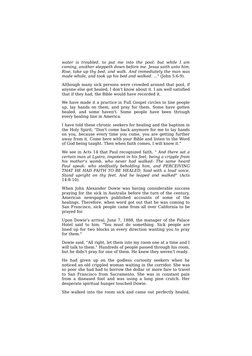*water is troubled, to put me into the pool: but while I am coming, another steppeth down before me. Jesus saith unto him, Rise, take up thy bed, and walk. And immediately the man was made whole, and took up his bed and walked.* ..." (John 5:6-9).

Although many sick persons were crowded around that pool, if anyone else got healed, I don't know about it. I am well satisfied that if they had, the Bible would have recorded it.

We have made it a practice in Full Gospel circles to line people up, lay hands on them, and pray for them. Some have gotten healed, and some haven't. Some people have been through every healing line in America.

I have told these chronic seekers for healing and the baptism in the Holy Spirit, "Don't come back anymore for me to lay hands on you, because every time you come, you are getting further away from it. Come here with your Bible and listen to the Word of God being taught. Then when faith comes, I will know it."

We see in Acts 14 that Paul recognized faith. " *And there sat a certain man at Lystra, impotent in his feet, being a cripple from his mother's womb, who never had walked: The same heard Paul speak: who stedfastly beholding him, and PERCEIVING THAT HE HAD FAITH TO BE HEALED, Said with a loud voice, Stand upright on thy feet. And he leaped and walked"* (Acts 14:8-10).

When John Alexander Dowie was having considerable success praying for the sick in Australia before the turn of the century, American newspapers published accounts of some of the healings. Therefore, when word got out that he was coming to San Francisco, sick people came from all over California to be prayed for.

Upon Dowie's arrival, June 7, 1888, the manager of the Palace Hotel said to him, "You must do something. Sick people are lined up for two blocks in every direction wanting you to pray for them."

Dowie said, "All right, let them into my room one at a time and I will talk to them." Hundreds of people passed through his room, but he didn't pray for one of them. He knew they weren't ready.

He had given up on the godless curiosity seekers when he noticed an old crippled woman waiting in the corridor. She was so poor she had had to borrow the dollar or more fare to travel to San Francisco from Sacramento. She was in constant pain from a diseased foot and was using a long pine crutch. Her desperate spiritual hunger touched Dowie.

She walked into the room sick and came out perfectly healed,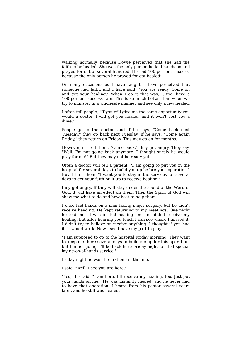walking normally, because Dowie perceived that she had the faith to be healed. She was the only person he laid hands on and prayed for out of several hundred. He had 100 percent success, because the only person he prayed for got healed!

On many occasions as I have taught, I have perceived that someone had faith, and I have said, "You are ready. Come on and get your healing." When I do it that way, I, too, have a 100 percent success rate. This is so much better than when we try to minister in a wholesale manner and see only a few healed.

I often tell people, "If you will give me the same opportunity you would a doctor, I will get you healed, and it won't cost you a dime."

People go to the doctor, and if he says, "Come back next Tuesday," they go back next Tuesday. If he says, "Come again Friday," they return on Friday. This may go on for months.

However, if I tell them, "Come back," they get angry. They say, "Well, I'm not going back anymore. I thought surely he would pray for me!" But they may not be ready yet.

Often a doctor will tell a patient. "I am going to put you in the hospital for several days to build you up before your operation." But if I tell them, "I want you to stay in the services for several days to get your faith built up to receive healing,"

they get angry. If they will stay under the sound of the Word of God, it will have an effect on them. Then the Spirit of God will show me what to do and how best to help them.

I once laid hands on a man facing major surgery, but he didn't receive heeding. He kept returning to my meetings. One night he told me, "I was in that healing line and didn't receive my healing, but after hearing you teach I can see where I missed it: I didn't try to believe or receive anything. I thought if you had it, it would work. Now I see I have my part to play.

"I am supposed to go to the hospital Friday morning. They want to keep me there several days to build me up for this operation, but I'm not going. I'll be back here Friday night for that special laying-on-of-hands service."

Friday night he was the first one in the line.

I said, "Well, I see you are here."

"Yes." he said. "I am here. I'll receive my healing, too. Just put your hands on me." He was instantly healed, and he never had to have that operation. I heard from his pastor several years later, and he still was healed.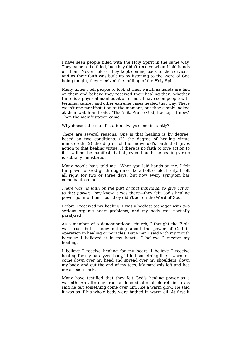I have seen people filled with the Holy Spirit in the same way. They came to be filled, but they didn't receive when I laid hands on them. Nevertheless, they kept coming back to the services, and as their faith was built up by listening to the Word of God being taught, they received the infilling of the Holy Spirit.

Many times I tell people to look at their watch as hands are laid on them and believe they received their healing then, whether there is a physical manifestation or not. I have seen people with terminal cancer and other extreme cases healed that way. There wasn't any manifestation at the moment, but they simply looked at their watch and said, "That's it. Praise God, I accept it now." Then the manifestation came.

#### Why doesn't the manifestation always come instantly?

There are several reasons. One is that healing is by degree, based on two conditions: (1) the degree of healing virtue ministered; (2) the degree of the individual's faith that gives action to that healing virtue. If there is no faith to give action to it, it will not be manifested at all, even though the healing virtue is actually ministered.

Many people have told me, "When you laid hands on me, I felt the power of God go through me like a bolt of electricity. I felt all right for two or three days, but now every symptom has come back on me."

*There was no faith on the part of that individual to give action to that power.* They knew it was there—they felt God's healing power go into them—but they didn't act on the Word of God.

Before I received my healing, I was a bedfast teenager with two serious organic heart problems, and my body was partially paralyzed.

As a member of a denominational church, I thought the Bible was true, but I knew nothing about the power of God in operation in healing or miracles. But when I said with my mouth because I believed it in my heart, "I believe I receive my healing.

I believe I receive healing for my heart. I believe I receive healing for my paralyzed body," I felt something like a warm oil come down over my head and spread over my shoulders, down my body, and out the end of my toes. My paralysis left and has never been back.

Many have testified that they felt God's healing power as a warmth. An attorney from a denominational church in Texas said he felt something come over him like a warm glow. He said it was as if his whole body were bathed in warm oil. At first it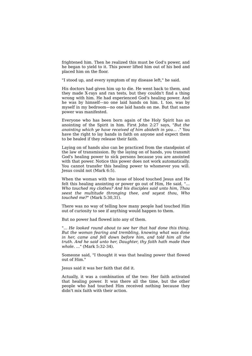frightened him. Then he realized this must be God's power, and he began to yield to it. This power lifted him out of his bed and placed him on the floor.

"I stood up, and every symptom of my disease left," he said.

His doctors had given him up to die. He went back to them, and they made X-rays and ran tests, but they couldn't find a thing wrong with him. He had experienced God's healing power. And he was by himself—no one laid hands on him. I, too, was by myself in my bedroom—no one laid hands on me. But that same power was manifested.

Everyone who has been born again of the Holy Spirit has an anointing of the Spirit in him. First John 2:27 says, *"But the anointing which ye have received of him abideth in you...* ." You have the right to lay hands in faith on anyone and expect them to be healed if they release their faith.

Laying on of hands also can be practiced from the standpoint of the law of transmission. By the laying on of hands, you transmit God's healing power to sick persons because you are anointed with that power. Notice this power does not work automatically. You cannot transfer this healing power to whomever you will. Jesus could not (Mark 6:5).

When the woman with the issue of blood touched Jesus and He felt this healing anointing or power go out of Him, He said, "... *Who touched my clothes? And his disciples said unto him, Thou seest the multitude thronging thee, and sayest thou, Who touched me?"* (Mark 5:30,31).

There was no way of telling how many people had touched Him out of curiosity to see if anything would happen to them.

But no power had flowed into any of them.

"... *He looked round about to see her that had done this thing. But the woman fearing and trembling, knowing what was done in her, came and fell down before him, and told him all the truth. And he said unto her, Daughter, thy faith hath made thee whole.* ..." (Mark 5:32-34).

Someone said, "I thought it was that healing power that flowed out of Him."

Jesus said it was her faith that did it.

Actually, it was a combination of the two: Her faith activated that healing power. It was there all the time, but the other people who had touched Him received nothing because they didn't mix faith with their action.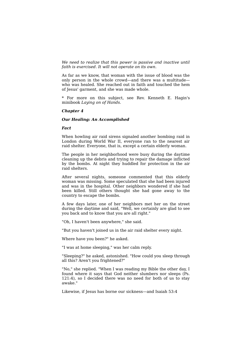*We need to realize that this power is passive and inactive until faith is exercised. It will not operate on its own.*

As far as we know, that woman with the issue of blood was the only person in the whole crowd—and there was a multitude who was healed. She reached out in faith and touched the hem of Jesus' garment, and she was made whole.

\* For more on this subject, see Rev. Kenneth E. Hagin's minibook *Laying on of Hands.*

#### *Chapter 4*

### *Our Healing: An Accomplished*

## *Fact*

When howling air raid sirens signaled another bombing raid in London during World War II, everyone ran to the nearest air raid shelter. Everyone, that is, except a certain elderly woman.

The people in her neighborhood were busy during the daytime cleaning up the debris and trying to repair the damage inflicted by the bombs. At night they huddled for protection in the air raid shelters.

After several nights, someone commented that this elderly woman was missing. Some speculated that she had been injured and was in the hospital. Other neighbors wondered if she had been killed. Still others thought she had gone away to the country to escape the bombs.

A few days later, one of her neighbors met her on the street during the daytime and said, "Well, we certainly are glad to see you back and to know that you are all right."

"Oh, I haven't been anywhere," she said.

"But you haven't joined us in the air raid shelter every night.

Where have you been?" he asked.

"I was at home sleeping," was her calm reply.

"Sleeping?" he asked, astonished. "How could you sleep through all this? Aren't you frightened?"

"No," she replied. "When I was reading my Bible the other day, I found where it says that God neither slumbers nor sleeps (Ps. 121:4), so I decided there was no need for both of us to stay awake."

Likewise, if Jesus has borne our sickness—and Isaiah 53:4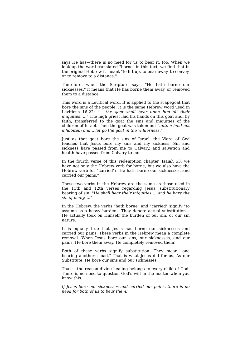says He has—there is no need for us to bear it, too. When we look up the word translated "borne" in this text, we find that in the original Hebrew it meant "to lift up, to bear away, to convey, or to remove to a distance."

Therefore, when the Scripture says, "He hath borne our sicknesses," it means that He has borne them away, or removed them to a distance.

This word is a Levitical word. It is applied to the scapegoat that bore the sins of the people. It is the same Hebrew word used in Leviticus 16:22: "... *the goat shall bear upon him all their iniquities.* ..." The high priest laid his hands on this goat and, by faith, transferred to the goat the sins and iniquities of the children of Israel. Then the goat was taken out *"unto a land not inhabited: and ...let go the goat in the wilderness."*

Just as that goat bore the sins of Israel, the Word of God teaches that Jesus bore my sins and my sickness. Sin and sickness have passed from me to Calvary, and salvation and health have passed from Calvary to me.

In the fourth verse of this redemption chapter, Isaiah 53, we have not only the Hebrew verb for borne, but we also have the Hebrew verb for "carried": "He hath borne our sicknesses, and carried our pains."

These two verbs in the Hebrew are the same as those used in the 11th and 12th verses regarding Jesus' substitutionary bearing of sin: *"He shall bear their iniquities ... and he bare the sin of many.* ..."

In the Hebrew, the verbs "hath borne" and "carried" signify "to assume as a heavy burden." They denote actual substitution— He actually took on Himself the burden of our sin, or our sin nature.

It is equally true that Jesus has borne our sicknesses and carried our pains. These verbs in the Hebrew mean a complete removal. When Jesus bore our sins, our sicknesses, and our pains, He bore them away. He completely removed them!

Both of these verbs signify substitution. They mean "one bearing another's load." That is what Jesus did for us. As our Substitute, He bore our sins and our sicknesses.

That is the reason divine healing belongs to every child of God. There is no need to question God's will in the matter when you know this.

*If Jesus bore our sicknesses and carried our pains, there is no need for both of us to bear them!*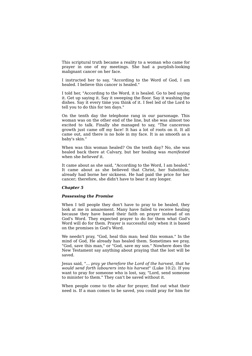This scriptural truth became a reality to a woman who came for prayer in one of my meetings. She had a purplish-looking malignant cancer on her face.

I instructed her to say, "According to the Word of God, I am healed. I believe this cancer is healed."

I told her, "According to the Word, it is healed. Go to bed saying it. Get up saying it. Say it sweeping the floor. Say it washing the dishes. Say it every time you think of it. I feel led of the Lord to tell you to do this for ten days."

On the tenth day the telephone rang in our parsonage. This woman was on the other end of the line, but she was almost too excited to talk. Finally she managed to say, "The cancerous growth just came off my face! It has a lot of roots on it. It all came out, and there is no hole in my face. It is as smooth as a baby's skin."

When was this woman healed? On the tenth day? No, she was healed back there at Calvary, but her healing was *manifested* when she *believed* it.

It came about as she said, "According to the Word, I am healed." It came about as she believed that Christ, her Substitute, already had borne her sickness. He had paid the price for her cancer; therefore, she didn't have to bear it any longer.

# *Chapter 5*

## *Possessing the Promise*

When I tell people they don't have to pray to be healed, they look at me in amazement. Many have failed to receive healing because they have based their faith on prayer instead of on God's Word. They expected prayer to do for them what God's Word will do for them. Prayer is successful only when it is based on the promises in God's Word.

We needn't pray, "God, heal this man; heal this woman." In the mind of God, He already has healed them. Sometimes we pray, "God, save this man," or "God, save my son." Nowhere does the New Testament say anything about praying that the lost will be saved.

Jesus said, "... *pray ye therefore the Lord of the harvest, that he would send forth labourers into his harvest"* (Luke 10:2). If you want to pray for someone who is lost, say, "Lord, send someone to minister to them." They can't be saved without it.

When people come to the altar for prayer, find out what their need is. If a man comes to be saved, you could pray for him for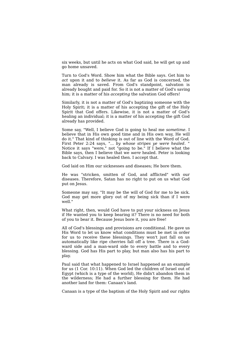six weeks, but until he acts on what God said, he will get up and go home unsaved.

Turn to God's Word. Show him what the Bible says. Get him to *act* upon it and to *believe* it. As far as God is concerned, the man already is saved. From God's standpoint, salvation is already bought and paid for. So it is not a matter of God's saving him; it is a matter of his *accepting* the salvation God offers!

Similarly, it is not a matter of God's baptizing someone with the Holy Spirit; it is a matter of his accepting the gift of the Holy Spirit that God offers. Likewise, it is not a matter of God's healing an individual; it is a matter of his accepting the gift God already has provided.

Some say, "Well, I believe God is going to heal me *sometime.* I believe that in His own good time and in His own way, He will do it." That kind of thinking is out of line with the Word of God. First Peter 2:24 says, "... *by whose stripes ye were healed.* " Notice it says "were," not "going to be." If I believe what the Bible says, then I believe that we *were* healed. Peter is looking back to Calvary. I was healed then. I accept that.

God laid on Him our sicknesses and diseases; He bore them.

He was "stricken, smitten of God, and afflicted" with our diseases. Therefore, Satan has no right to put on us what God put on Jesus.

Someone may say, "It may be the will of God for me to be sick. God may get more glory out of my being sick than if I were well."

What right, then, would God have to put your sickness on Jesus if He wanted you to keep bearing it? There is no need for both of you to bear it. Because Jesus bore it, you are free!

All of God's blessings and provisions are conditional. He gave us His Word to let us know what conditions must be met in order for us to receive these blessings. They won't just fall on us automatically like ripe cherries fall off a tree. There is a Godward side and a man-ward side to every battle and to every blessing. God has His part to play, but man also has his part to play.

Paul said that what happened to Israel happened as an example for us (1 Cor. 10:11). When God led the children of Israel out of Egypt (which is a type of the world), He didn't abandon them in the wilderness; He had a further blessing for them. He had another land for them: Canaan's land.

Canaan is a type of the baptism of the Holy Spirit and our rights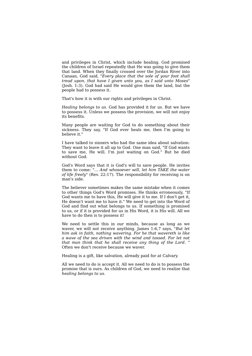and privileges in Christ, which include healing. God promised the children of Israel repeatedly that He was going to give them that land. When they finally crossed over the Jordan River into Canaan, God said, *"Every place that the sole of your foot shall tread upon, that have I given unto you, as I said unto Moses"* (Josh. 1:3). God had said He would give them the land, but the people had to *possess* it.

That's how it is with our rights and privileges in Christ.

*Healing belongs to us.* God has provided it for us. But we have to possess it. Unless we possess the provision, we will not enjoy its benefits.

Many people are waiting for God to do something about their sickness. They say, "If God ever heals me, then I'm going to believe it."

I have talked to sinners who had the same idea about salvation: They want to leave it all up to God. One man said, "If God wants to save me, He will. I'm just waiting on God." But he died without God.

God's Word says that it *is* God's will to save people. He invites them to come: "... *And whosoever will, let him TAKE the water of life freely"* (Rev. 22:17). The responsibility for receiving is on man's side.

The believer sometimes makes the same mistake when it comes to other things God's Word promises. He thinks erroneously, "If God wants me to have this, He will give it to me. If I don't get it, He doesn't want me to have it." We need to get into the Word of God and find out what belongs to us. If something is promised to us, or if it is provided for us in His Word, it is His will. All we have to do then is to possess it!

We need to settle this in our minds, because as long as we waver, we will not receive anything. James 1:6,7 says, *"But let him ask in faith, nothing wavering. For he that wavereth is like a wave of the sea driven with the wind and tossed. For let not that man think that he shall receive any thing of the Lord.* " Often we don't receive because we waver.

Healing is a gift, like salvation, already paid for at Calvary.

All we need to do is accept it. All we need to do is to possess the promise that is ours. As children of God, we need to realize that *healing belongs to us.*